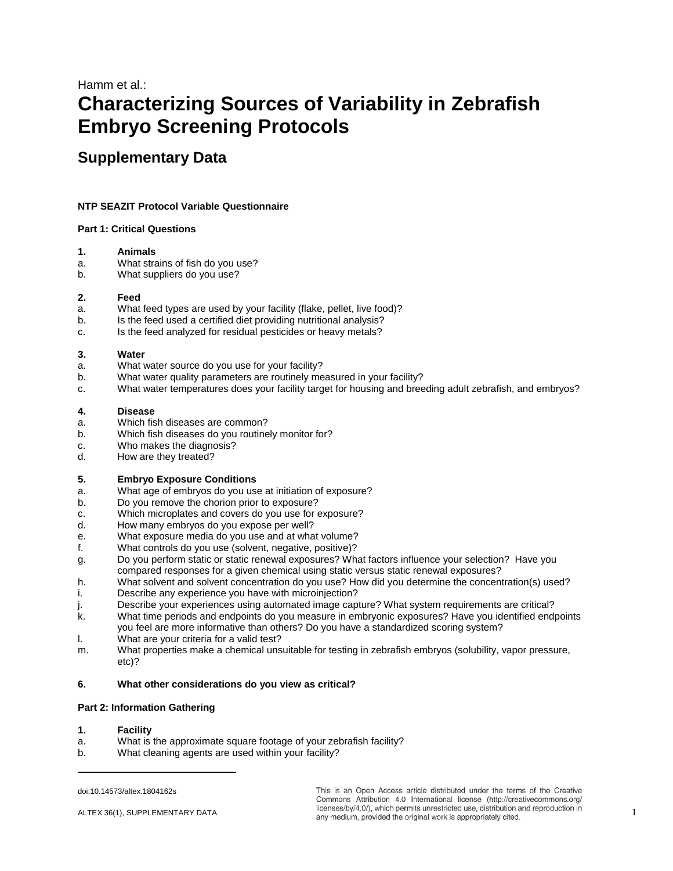# Hamm et al.: **Characterizing Sources of Variability in Zebrafish Embryo Screening Protocols**

## **Supplementary Data**

## **NTP SEAZIT Protocol Variable Questionnaire**

#### **Part 1: Critical Questions**

#### **1. Animals**

- a. What strains of fish do you use?
- b. What suppliers do you use?

## **2. Feed**

- a. What feed types are used by your facility (flake, pellet, live food)?
- b. Is the feed used a certified diet providing nutritional analysis?
- c. Is the feed analyzed for residual pesticides or heavy metals?

## **3. Water**

- a. What water source do you use for your facility?
- b. What water quality parameters are routinely measured in your facility?
- c. What water temperatures does your facility target for housing and breeding adult zebrafish, and embryos?

## **4. Disease**

- a. Which fish diseases are common?
- b. Which fish diseases do you routinely monitor for?
- c. Who makes the diagnosis?
- d. How are they treated?

## **5. Embryo Exposure Conditions**

- a. What age of embryos do you use at initiation of exposure?
- b. Do you remove the chorion prior to exposure?
- c. Which microplates and covers do you use for exposure?
- d. How many embryos do you expose per well?
- e. What exposure media do you use and at what volume?
- f. What controls do you use (solvent, negative, positive)?
- g. Do you perform static or static renewal exposures? What factors influence your selection? Have you compared responses for a given chemical using static versus static renewal exposures?
- h. What solvent and solvent concentration do you use? How did you determine the concentration(s) used?
- i. Describe any experience you have with microinjection?
- j. Describe your experiences using automated image capture? What system requirements are critical?
- k. What time periods and endpoints do you measure in embryonic exposures? Have you identified endpoints you feel are more informative than others? Do you have a standardized scoring system?
- l. What are your criteria for a valid test?
- m. What properties make a chemical unsuitable for testing in zebrafish embryos (solubility, vapor pressure, etc)?

## **6. What other considerations do you view as critical?**

#### **Part 2: Information Gathering**

**1. Facility**

 $\overline{a}$ 

- a. What is the approximate square footage of your zebrafish facility?
- b. What cleaning agents are used within your facility?

This is an Open Access article distributed under the terms of the Creative Commons Attribution 4.0 International license (http://creativecommons.org/ ALTEX 36(1), SUPPLEMENTARY DATA **1** licenses/by/4.0/), which permits unrestricted use, distribution and reproduction in<br>any medium, provided the original work is appropriately cited.

[doi:10.14573/altex.1804162s](https://doi.org/10.14573/altex.1804162s)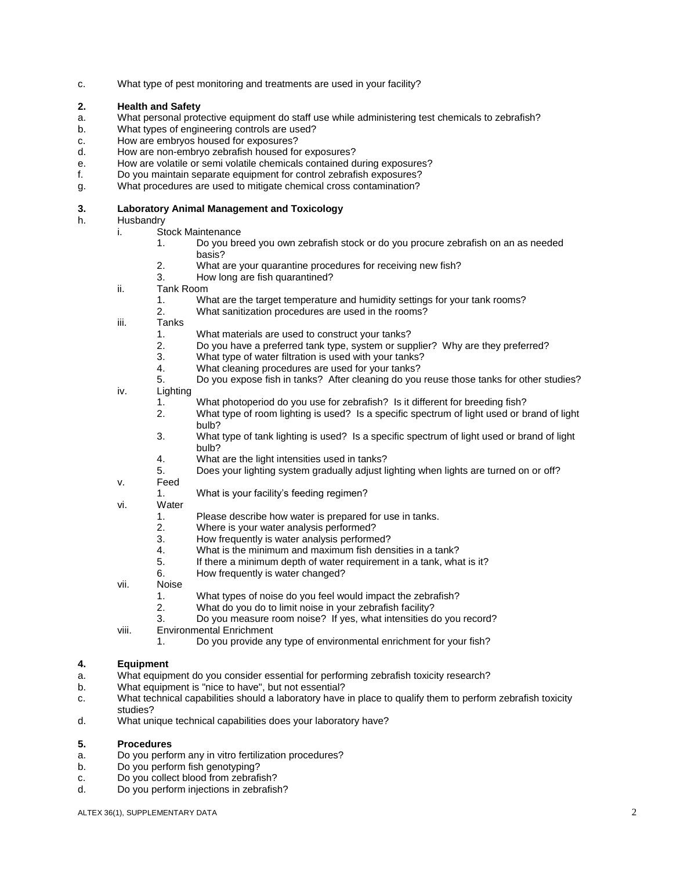c. What type of pest monitoring and treatments are used in your facility?

## **2. Health and Safety**

- a. What personal protective equipment do staff use while administering test chemicals to zebrafish?
- b. What types of engineering controls are used?
- c. How are embryos housed for exposures?
- d. How are non-embryo zebrafish housed for exposures?
- e. How are volatile or semi volatile chemicals contained during exposures?
- f. Do you maintain separate equipment for control zebrafish exposures?
- g. What procedures are used to mitigate chemical cross contamination?

### **3. Laboratory Animal Management and Toxicology**

## h. Husbandry

- i. Stock Maintenance
	- 1. Do you breed you own zebrafish stock or do you procure zebrafish on an as needed basis?
	- 2. What are your quarantine procedures for receiving new fish?
	- 3. How long are fish quarantined?
- ii. Tank Room
	- 1. What are the target temperature and humidity settings for your tank rooms?
	- 2. What sanitization procedures are used in the rooms?
- iii. Tanks
	- 1. What materials are used to construct your tanks?
	- 2. Do you have a preferred tank type, system or supplier? Why are they preferred?
	- 3. What type of water filtration is used with your tanks?
	- 4. What cleaning procedures are used for your tanks?
	- 5. Do you expose fish in tanks? After cleaning do you reuse those tanks for other studies?
- iv. Lighting
	- 1. What photoperiod do you use for zebrafish? Is it different for breeding fish?
	- 2. What type of room lighting is used? Is a specific spectrum of light used or brand of light bulb?
	- 3. What type of tank lighting is used? Is a specific spectrum of light used or brand of light bulb?
	- 4. What are the light intensities used in tanks?
	- 5. Does your lighting system gradually adjust lighting when lights are turned on or off?
- v. Feed
	- 1. What is your facility's feeding regimen?
- vi. Water
	- 1. Please describe how water is prepared for use in tanks.<br>2. Where is your water analysis performed?
	- 2. Where is your water analysis performed?<br>3. How frequently is water analysis performe
	- 3. How frequently is water analysis performed?<br>4 What is the minimum and maximum fish deng
	- 4. What is the minimum and maximum fish densities in a tank?<br>5. If there a minimum denth of water requirement in a tank what
	- If there a minimum depth of water requirement in a tank, what is it?
	- 6. How frequently is water changed?
- vii. Noise
	- 1. What types of noise do you feel would impact the zebrafish?
	- 2. What do you do to limit noise in your zebrafish facility?
	- 3. Do you measure room noise? If yes, what intensities do you record?
- viii. Environmental Enrichment
	- 1. Do you provide any type of environmental enrichment for your fish?

## **4. Equipment**

- a. What equipment do you consider essential for performing zebrafish toxicity research?
- b. What equipment is "nice to have", but not essential?
- c. What technical capabilities should a laboratory have in place to qualify them to perform zebrafish toxicity studies?
- d. What unique technical capabilities does your laboratory have?

## **5. Procedures**

- a. Do you perform any in vitro fertilization procedures?
- b. Do you perform fish genotyping?
- c. Do you collect blood from zebrafish?
- d. Do you perform injections in zebrafish?